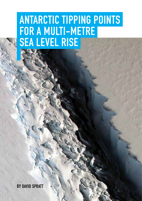# **ANTARCTIC TIPPING POINTS FOR A MULTI-METRE SEA LEVEL RISE**

**BY DAVID SPRATT**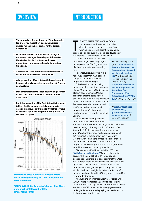### **OVERVIEW**

## **INTRODUCTION**

- **> The Amundsen Sea sector of the West Antarctic Ice Sheet has most likely been destabilized and ice retreat is unstoppable for the current conditions.**
- **> No further acceleration in climate change is necessary to trigger the collapse of the rest of the West Antarctic Ice Sheet, with loss of a significant fraction on a decadal-to-century time scale.**
- **> Antarctica has the potential to contribute more than a metre of sea-level rise by 2100.**
- **> A large fraction of West Antarctic basin ice could be gone within two centuries, causing a 3–5 metre sea level rise.**
- **> Mechanisms similar to those causing deglaciation in West Antarctica are now also found in East Antarctica.**
- **> Partial deglaciation of the East Antarctic ice sheet is likely for the current level of atmospheric carbon dioxide, contributing to 10 metres or more of sea level rise in the longer run, and 5 metres in the first 200 years.**



Antarctic ice mass 2002-2016, measured from NASA's Gravity Recovery and Climate Experiment (GRACE) satellites

FRONT COVER Rift in Antarctica's Larsen C Ice Shelf, photographed 10 November 2016 (NASA/John Sonntag)

**THE WEST ANTARCTIC Ice Sheet (WAIS),<br>comprising more than two million cubic<br>kilometres of ice, is under pressure from a<br>warming climate, with scientists saying its<br>break-up—and an eventual global sea-level rise of** HE WEST ANTARCTIC Ice Sheet (WAIS), comprising more than two million cubic kilometres of ice, is under pressure from a warming climate, with scientists saying its 3–5 metres—is not matter of if, but when.

The West Antarctic Peninsula is now the strongest-warming region on the planet, and WAIS glaciers are discharging ice at an accelerating rate.

Recent studies, surveyed in this report, suggest that WAIS passed a tipping point for large-scale deglaciation decades ago.

This should not be surprising, because such an event was foreseen almost 50 years ago. In 1968, pioneer glacier researcher John Mercer predicted that the collapse of ice shelves along the Antarctic Peninsula could herald the loss of the ice sheet. Ten years later, Mercer contended that "a major disaster—a rapid deglaciation of West Antarctica may be in progress … within about 50 years".

He said that warming "above a critical level would remove all ice shelves, and consequently all ice grounded below sea level, resulting in the deglaciation of most of West Antarctica". Such disintegration, once under way, would "probably be rapid, perhaps catastrophically so", with most of the ice sheet lost in a century. Credited with coining the phrase "the greenhouse effect" in the early 1960s, Mercer's Antarctic prognosis was widely ignored and disparaged at the time. Now in seems uncannily prescient.

Climate author Fred Pearce (in his 2007 book **["With Speed and Violence"](http://www.beacon.org/With-Speed-and-Violence-P1123.aspx)** 4) quotes the leading cryosphere scientist Richard Alley as saying a decade ago that there is "a possibility that the West Antarctic ice sheet could collapse and raise sea levels by 6 yards [5.5 metres]" this century. Pearce also interviewed NASA glaciologist Eric Rignot who has studied the Pine Island glacier in West Antarctica for decades, and concluded that "the glacier is primed for runaway destruction".

Although the much larger East Antarctic Ice Sheet (EAIS)—with potential for a 50-metre sea-level rise if all ice were lost—has generally been considered more stable than WAIS, recent evidence suggests some outlet glaciers there are displaying similar dynamics to those on West Antarctica.

● Rignot, Velicogna at al (2011) "**[Acceleration of](http://onlinelibrary.wiley.com/doi/10.1029/2011GL046583/abstract)  [the contribution of the](http://onlinelibrary.wiley.com/doi/10.1029/2011GL046583/abstract)  [Greenland and Antarctic](http://onlinelibrary.wiley.com/doi/10.1029/2011GL046583/abstract)  [ice sheets to sea level](http://onlinelibrary.wiley.com/doi/10.1029/2011GL046583/abstract)  [rise](http://onlinelibrary.wiley.com/doi/10.1029/2011GL046583/abstract)**"<sup>1</sup> , GRL 38: L05503-7 ● Mouginot, Rignot and Scheuchl (2014) "**[Sustained increase in](http://onlinelibrary.wiley.com/doi/10.1002/2013GL059069/abstract)  [ice discharge from the](http://onlinelibrary.wiley.com/doi/10.1002/2013GL059069/abstract)  [Amundsen Sea](http://onlinelibrary.wiley.com/doi/10.1002/2013GL059069/abstract)  [Embayment, West](http://onlinelibrary.wiley.com/doi/10.1002/2013GL059069/abstract)  [Antarctica, from 1973 to](http://onlinelibrary.wiley.com/doi/10.1002/2013GL059069/abstract)  [2013](http://onlinelibrary.wiley.com/doi/10.1002/2013GL059069/abstract)**" 2, GRL 41:1576-1584).

● "**[West Antarctic ice](http://www.nature.com/nature/journal/v271/n5643/abs/271321a0.html)**  sheet and CO<sub>2</sub> **[greenhouse effect: a](http://www.nature.com/nature/journal/v271/n5643/abs/271321a0.html)  [threat of disaster](http://www.nature.com/nature/journal/v271/n5643/abs/271321a0.html)**" 3, Nature 271:321-325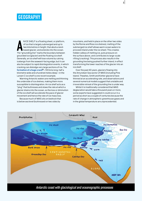#### **GEOGRAPHY**

NICE SHELF is a floating sheet, or platform,<br>of ice that is largely submerged and up to<br>two kilometres in height, that abuts a land-<br>based glacier, and extends into the ocean.<br>The "grounding line" marks the boundary betwee N ICE SHELF is a floating sheet, or platform, of ice that is largely submerged and up to two kilometres in height, that abuts a landbased glacier, and extends into the ocean. grounded ice (glacier) and the floating ice shelf. Generally, an ice shelf will lose volume by calving icebergs from the seaward-facing edge, but it can also be subject to rapid disintegration events, in which cracking can dislodge very large sections of ice. The **[formation of a huge crack](https://www.nasa.gov/image-feature/rift-in-antarcticas-larsen-c-ice-shelf)**5—100 kms long, half a kilometre wide and a hundred metes deep—in the Larsen C ice shelf is one recent example.

Warming Antarctic waters are melting and thinning the underside of ice shelves, making them more susceptible to disintegration. An ice shelf acts as a "plug" that buttresses and slows the rate at which a glacier drains into the ocean, so the loss or diminution of the ice shelf will accelerate the pace of glacier movement and hence the rate of ice mass loss.

Because much of WAIS sits on bedrock that is below sea level (buttressed on two sides by

mountains, and held in place on the other two sides by the Ronne and Ross ice shelves), melting of the submerged ice shelf allows warm ocean waters to proceed inland under the ice sheet. This creates hidden valleys of melting ice, puts pressure on the surface above, and contributes to large-scale rifting (cracking). This process also results in the grounding line being pushed further inland, in effect transforming the lower reaches of the glacier into an ice shelf.

Over the past 40 years, glaciers flowing into the Amundsen Sea sector of WAIS (including Pine Island, Thwaites, Smith and Kohler glaciers) have thinned at an accelerating rate, and observations and several numerical models suggest that unstable and irreversible retreat of the grounding line is under way.

Whilst it is traditionally considered that WAIS deglaciation would take a thousand years or more, some experts have suggested in could occur in a period as short as a couple of centuries because the rate of change in atmospheric greenhouse gases and in the global temperature are unprecedented.

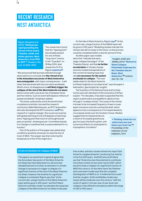# **RECENT RESEARCH WEST ANTARCTICA**

Rignot, Mouginot et al (2014) **["Widespread,](http://onlinelibrary.wiley.com/doi/10.1002/2014GL060140/abstract)  [rapid grounding line](http://onlinelibrary.wiley.com/doi/10.1002/2014GL060140/abstract)  [retreat of Pine Island,](http://onlinelibrary.wiley.com/doi/10.1002/2014GL060140/abstract)  [Thwaites, Smith, and](http://onlinelibrary.wiley.com/doi/10.1002/2014GL060140/abstract)  [Kohler glaciers, West](http://onlinelibrary.wiley.com/doi/10.1002/2014GL060140/abstract)  [Antarctica, from 1992](http://onlinelibrary.wiley.com/doi/10.1002/2014GL060140/abstract)  [to 2011"](http://onlinelibrary.wiley.com/doi/10.1002/2014GL060140/abstract)** 6, Geophys. Res. Lett. 41:3502–3509

The researchers found that the "tipping point" has already passed for one of these "long-term" events. In the "Guardian" on 18 May 2014, lead researcher Dr Eric Rignot **[explained](https://www.theguardian.com/commentisfree/2014/may/17/climate-change-antarctica-glaciers-melting-global-warming-nasa)**7:

"We announced that we had collected enough observations to conclude that *the retreat of ice in the Amundsen sea sector of West Antarctica was unstoppable*, with major consequences – it will mean that sea levels will rise one metre worldwide. What's more, its disappearance *will likely trigger the collapse of the rest of the West Antarctic ice sheet*, which comes with a sea level rise of between three and five metres. Such an event will displace millions of people worldwide" (emphasis added).

This study, authored by some the world's best cryosphere scientists, stunned the research community. Malte Meinshausen, an IPCC lead author who also developed the RCP scenarios, **[said](https://vimeo.com/97926131)**8 this research is "a game changer, this is just one surprise with global warming of only 0.8 degrees of warming", and a "tipping point that none of us thought would pass so quickly", showing we are "committed already to a change in coastlines that is unprecedented for us humans".

One of the authors of this paper was asked what conditions would be necessary to stop the loss of most of WAIS. The answer was that restoring the temperature of the 1970s might do it.

On the fate of West Antartica, Rignot **[says](https://www.theguardian.com/commentisfree/2014/may/17/climate-change-antarctica-glaciers-melting-global-warming-nasa)**9 "at the current rate, a large fraction of the (WAIS) basin will be gone in 200 years". Modelling studies indicate the retreat rate will increase in the future, so the process could be completed within a shorter period of time.

Another paper uses models which the "indicate that earlystage collapse has begun" of the Thwaites Glacier, and that *no further acceleration* of climate change and only modest extrapolations of the current increasing mass loss rate *are necessary for the system eventually to collapse*. "The next stable state for the West Antarctic

● Joughin, Smith and Medley (2014) **["Marine Ice](http://science.sciencemag.org/content/344/6185/735)  [Sheet Collapse](http://science.sciencemag.org/content/344/6185/735)  [Potentially Underway for](http://science.sciencemag.org/content/344/6185/735)  [the Thwaites Glacier](http://science.sciencemag.org/content/344/6185/735)  [Basin, West](http://science.sciencemag.org/content/344/6185/735)  [Antarctica"](http://science.sciencemag.org/content/344/6185/735)**10, Science, 344:735–738

Ice Sheet might be no ice sheet at all," says the paper's lead author, glaciologist Ian Joughin.

Ted Scambos of the National Snow and Ice Data Centre and John Abraham of the University of StPaul explain: "For decades, it has been suspected that this region is particularly susceptible to rapid ice loss, through a 'runaway retreat'. The cause of the retreat is known to be increased frequency of warm ocean water intrusions onto the continental shelf, which appears to be a consequence of increased westerly circumpolar winds over the Southern Ocean. Models

suggest that increased winds are a result of increased greenhouse gas forcing in the Earth system, and ozone loss effects on stratospheric/ tropospheric circulation".

● **["Briefing: Antarctic ice](https://www.researchgate.net/publication/273187021_Briefing_Antarctic_ice_sheet_mass_loss_and_future_sea-level_rise)  [sheet mass loss and](https://www.researchgate.net/publication/273187021_Briefing_Antarctic_ice_sheet_mass_loss_and_future_sea-level_rise)  [future sea-level rise"](https://www.researchgate.net/publication/273187021_Briefing_Antarctic_ice_sheet_mass_loss_and_future_sea-level_rise)**11, Proceedings of the Institution of Civil Engineers, 2014

#### **A note on timelines for collapse of WAIS**

The papers surveyed here in general agree that the Amundsen Sea sector of the West Antarctic Ice Sheet has most likely been (or will soon be) destabilized and no further acceleration in climate change is necessary to trigger a collapse of a significant fraction of the rest of the West Antarctic Ice Sheet. However the timeline for significant collapse is contested. Rignot says that "at the current rate, a large fraction of the (West Antarctic) basin will be gone in 200 years" and the Pollard, DeConto and Alley model "accelerates the expected collapse of the West Antarctic Ice Sheet to decadal

time scales, and also causes retreat into major East Antarctic subglacial basins", producing five metres in the first 200 years. And DeConto and Pollard say that "Antarctica has the potential to contribute more than a metre of sea-level rise by 2100", which would include a collapse of a significant fraction of WAIS this century. On the other hand, the Feldman and Levermann model says that the complete disintegration of WAIS is on "a millennial time scale". And the Joughin, Smith and Medley model says losses will be moderate over this century "with the onset of rapid (>1 mm per year of sea-level rise) collapse in the different simulations within the range of 200 to 900 years."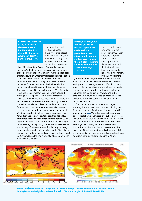Feldman and Levermann (2015) **["Collapse of](http://www.pnas.org/content/112/46/14191.abstract)  [the West Antarctic](http://www.pnas.org/content/112/46/14191.abstract)  [Ice Sheet after local](http://www.pnas.org/content/112/46/14191.abstract)  [destabilization of the](http://www.pnas.org/content/112/46/14191.abstract)  [Amundsen Basin"](http://www.pnas.org/content/112/46/14191.abstract)**12, PNAS 112;14191-14196

This modelling study of the Amundsen Basin finds that "a local destabilization causes a complete disintegration of the marine ice in West Antarctica… the region

disequilibrates after 60 years of currently observed melt rates".. [Melt rates are observed to be continuing to accelerate, so the actual time line may be a good deal shorter.] However "whether this localized destabilization will yield a full discharge of marine ice from West Antarctica, associated with a global sea-level rise of more than 3 metre, or whether the ice loss is limited by ice dynamics and topographic features, is unclear." The significance of the study is given as: "The Antarctic Ice Sheet is losing mass at an accelerating rate, and playing a more important role in terms of global sealevel rise. The Amundsen Sea sector of West Antarctica *has most likely been destabilized*. Although previous numerical modeling studies examined the short-term future evolution of this region, here we take the next step and simulate the long-term evolution of the whole West Antarctic Ice Sheet. Our results show that if the Amundsen Sea sector is destabilized, then *the entire marine ice sheet will discharge into the ocean*, causing a global sea-level rise of about 3 metres. We thus might be witnessing the beginning of a period of self-sustained ice discharge from West Antarctica that requires longterm global adaptation of coastal protection" (emphasis added). The model in this study says that it will take about 2000 years to see the first metre of global sea-level rise from the WAIS collapse.

Hansen, Sato et al (2015) **["Ice melt, sea level](http://www.atmos-chem-phys.net/16/3761/2016/)  [rise and superstorms:](http://www.atmos-chem-phys.net/16/3761/2016/)  [evidence from](http://www.atmos-chem-phys.net/16/3761/2016/)  [paleoclimate data,](http://www.atmos-chem-phys.net/16/3761/2016/)  [climate modeling, and](http://www.atmos-chem-phys.net/16/3761/2016/)  [modern observations](http://www.atmos-chem-phys.net/16/3761/2016/)  [that 2°C global warming](http://www.atmos-chem-phys.net/16/3761/2016/)  [could be dangerous"](http://www.atmos-chem-phys.net/16/3761/2016/)**13, Atmos. Chem. Phys. 16:3761-3812

This research surveys evidence from the previous warm Eemian interglacial period around 120,000 years ago. At that time there were rapid fluctuations in sea level, and the study identifies a mechanism in the Earth's climate

system not previously understood, which points to a much more rapid rise in sea levels than currently anticipated. Increasing ocean stratification occurs when cooler surface layers from melting ice sheets trap warmer waters underneath, accelerating their impact on the melting of ice shelves and outlet glaciers. This in turn increases ice sheet mass loss, and generates more cool surface melt water in a positive feedback.

The consequences include the slowing or shutting down of key ocean currents including the Atlantic Meridional Overturning Circulation (AMOC), which Hansen **[says](https://www.theguardian.com/environment/planet-oz/2016/mar/24/has-veteran-climate-scientist-james-hansen-foretold-the-loss-of-all-coastal-cities-with-latest-study)**14 would increase temperature differentials between tropical and sub-polar waters, and drive "super storms" such that "All hell will break loose in the North Atlantic and neighbouring lands". The projected cooling pattern of waters around Antarctica and the north Atlantic waters from the injection of fresh ice-melt water is already visible in the observed data (see diagram below), and is already contributing to a circulation decline of AMOC.



Above (left) the Hansen et al projection for 2065 of temperature with accelerated ice melt in both hemispheres; and (right) actual conditions in 2016 at the height of the 2015-2016 El Nino.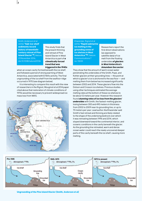Smith, Anderson et al (2016) **["Sub-ice-shelf](http://www.nature.com/nature/journal/v541/n7635/full/nature20136.html)  [sediments record](http://www.nature.com/nature/journal/v541/n7635/full/nature20136.html)  [history of twentieth](http://www.nature.com/nature/journal/v541/n7635/full/nature20136.html)[century retreat of Pine](http://www.nature.com/nature/journal/v541/n7635/full/nature20136.html)  [Island Glacier"](http://www.nature.com/nature/journal/v541/n7635/full/nature20136.html)**15, Nature, 23 November 2016, doi:10.1038/nature20136

This study finds that the present thinning and retreat of Pine Island Glacier in West Antarctica is part of *a climatically forced trend that was triggered in the 1940s* 

when an ocean cavity formed beneath the ice shelf, and followed a period of strong warming of West Antarctica, associated with El Niño activity. The final ungrounding of the ice shelf from the seafloor ridge occurred in 1970 (see diagram below).

It is interesting to compare this result with the view of researchers in the Rignot, Mouginot et al 2014 paper cited above that restoration of climate conditions of 1970s would be necessary to prevent widespread ice mass loss from WAIS.



Khazendar, Rignot et al (2016) **"[Rapid submarine](http://www.nature.com/articles/ncomms13243)  [ice melting in the](http://www.nature.com/articles/ncomms13243)  [grounding zones of](http://www.nature.com/articles/ncomms13243)  [ice shelves in West](http://www.nature.com/articles/ncomms13243)  [Antarctica](http://www.nature.com/articles/ncomms13243)"**15a, Nature Communications 7 no. 13243

Researchers report the first direct observations (as opposed to satellite data) of ice melt from the floating undersides *of glaciers in West Antarctica's Amundsen Sea sector*.

They show that the amount of warm ocean water penetrating the undersides of the Smith, Pope, and Kohler glaciers at their grounding lines — the point at which a glacier's ice is anchored to the sea floor — and melting them from below has increased significantly between 2002 and 2014. These glaciers flow into the Dotson and Crosson ice shelves. Previous studies using other techniques estimated the average melting rates at the bottom of these ice shelves to be about 12 meters per year. However this research found *stunning rates of ice loss from the glaciers' undersides* with Smith, the fastest-melting glacier, losing between 300 and 490 meters in thickness from 2002 to 2009 near its grounding line, or up to 70 meters per year. Lead author Ala Khazendar said Smith's fast retreat and thinning are likely related to the shape of the underlying bedrock over which it was retreating between 1996 and 2014, which sloped downward toward the continental interior, and oceanic conditions in the cavity beneath the glacier. As the grounding line retreated, warm and dense ocean water could reach the newly uncovered deeper parts of the cavity beneath the ice shelf, causing more melting.



Ungrounding of the Pine Island Glacier (Smith, Anderson et al)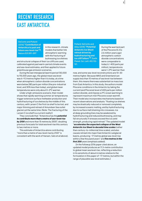# **RECENT RESEARCH EAST ANTARCTICA**

DeConto and Pollard (2016) **["Contribution of](http://www.nature.com/nature/journal/v531/n7596/full/nature17145.html)  [Antarctica to past and](http://www.nature.com/nature/journal/v531/n7596/full/nature17145.html)  [future sea-level rise"](http://www.nature.com/nature/journal/v531/n7596/full/nature17145.html)**16, Nature 531:591–597

In this research, climate models that better link atmospheric warming with the fracturing of buttressing ice shelves

and structural collapse of their ice cliffs are used, calibrated against past warm-period climate events and sea-level estimates, and then applied to future greenhouse gas emission scenarios.

During the last interglacial (warm) period 130,000 to 115,000 years ago, the global mean sea level was 6–9.3 metres higher than it is today, at a time when atmospheric carbon dioxide concentrations were below 280 parts per million (the pre-industrial level, and 30% less than today), and global mean temperatures were only about 0–2°C warmer.

Under a high-emissions scenario, their model shows that rapidly warming summer air temperatures trigger extensive surface meltwater production and hydrofracturing of ice shelves by the middle of this century, with Larsen C the first ice shelf to be lost, and major thinning and retreat of Amundsen Sea outlet glaciers at the same time. (Note: The fracturing of the Larsen C ice shelf is a current reality!)

They conclude that: "Antarctica has the *potential to contribute more than a metre of sea-level rise by 2100* and more than 15 metres by 2500", doubling previous forecasts for total sea level rise this century to two metres or more.

This estimate of Antarctica alone contributing "more than a metre of sea-level rise by 2100" is consistent with the work of Hansen, Sato et al (above).

Pollard, DeConto and Alley (2015) **["Potential](http://www.sciencedirect.com/science/article/pii/S0012821X14007961)  [Antarctic Ice Sheet](http://www.sciencedirect.com/science/article/pii/S0012821X14007961)  [retreat driven by](http://www.sciencedirect.com/science/article/pii/S0012821X14007961)  [hydrofracturing and](http://www.sciencedirect.com/science/article/pii/S0012821X14007961)  [ice cliff failure"](http://www.sciencedirect.com/science/article/pii/S0012821X14007961)**17, Earth Planet. Sci. Lett. 412:112– 121.

During the warmest part of the Pliocene (5.3 to 2.6 million years ago) atmospheric carbon dioxide concentrations were comparable to today's (~400 parts per million), temperatures were 1–2°C warmer than

now, and some sea-level reconstructions are 10–30 metres higher. Because WAIS and Greenland can supply less than 10 metres of sea level rise between them, this means there was substantial ice mass loss from East Antartica. In this study, the authors model Pliocene conditions in the Antarctic by taking the current (and Pliocene) level of 400 parts per million carbon dioxide, and impose a 2°C ocean warming to represent maximum mid-Pliocene ocean warmth. Their model also incorporates mechanisms based on recent observations and analysis: "floating ice shelves may be drastically reduced or removed completely by increased oceanic melting, and by hydrofracturing due to surface melt draining into crevasses. Ice at deep grounding lines may be weakened by hydrofracturing and reduced buttressing, and may fail structurally if stresses exceed the ice yield strength, producing rapid retreat." The updated model "*accelerates the expected collapse of the West Antarctic Ice Sheet to decadal time scales* (rather than century-to-millennial time scales), and also causes retreat into major East Antarctic subglacial basins, producing ~17 metres global sea-level rise within a few thousand years" and *five metres in the*  first 200 years (emphasis added).

[In the followup 2016 paper cited above, an updated model produces an 11.3-metre contribution to global mean sea level rise, reflecting a reduction in its sensitivity of about 6 metres relative to the formulation in this paper of ~17 metres, but within the range of plausible sea-level estimates.]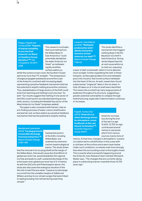Phipps, Fogwill and Turney (2016) **["Impacts](https://www.researchgate.net/publication/308765775_Impacts_of_marine_instability_across_the_East_Antarctic_Ice_Sheet_on_Southern_Ocean_dynamics)  [of marine instability](https://www.researchgate.net/publication/308765775_Impacts_of_marine_instability_across_the_East_Antarctic_Ice_Sheet_on_Southern_Ocean_dynamics)  [across the East](https://www.researchgate.net/publication/308765775_Impacts_of_marine_instability_across_the_East_Antarctic_Ice_Sheet_on_Southern_Ocean_dynamics)  [Antarctic Ice Sheet](https://www.researchgate.net/publication/308765775_Impacts_of_marine_instability_across_the_East_Antarctic_Ice_Sheet_on_Southern_Ocean_dynamics)  [on Southern Ocean](https://www.researchgate.net/publication/308765775_Impacts_of_marine_instability_across_the_East_Antarctic_Ice_Sheet_on_Southern_Ocean_dynamics)  [dynamics"](https://www.researchgate.net/publication/308765775_Impacts_of_marine_instability_across_the_East_Antarctic_Ice_Sheet_on_Southern_Ocean_dynamics)**18, The Cryosphere, 10:2317– 2328

This research concludes that local melting from the Wilkes Basin in East Antarctica "could potentially destabilise the wider Antarctic Ice Sheet" as meltwater rapidly stratifies surface waters so,

whilst the surface ocean cools, the Southern Ocean warms by more than 1°C at depth. "The temperature changes propagate westwards around the coast of the Antarctic continent with increasing depth, representing a positive feedback mechanism that has the potential to amplify melting around the continent… Thus, destabilisation of large sectors of the EAIS could arise from warming and melting in just one area." As well: "Our results suggest that melting of one sector of the EAIS could result in accelerated warming across other sectors, including the Weddell Sea sector of the West Antarctic Ice Sheet" (emphasis added).

This paper is also consistent with Hansen, Sato et al in finding a process of water column stratification and warmer sub-surface waters as a positive feedback mechanism that has the potential to amplify melting.

Mendel and Levermann (2014) **["Ice plug prevents](http://www.nature.com/nclimate/journal/v4/n6/full/nclimate2226.html)  [irreversible discharge](http://www.nature.com/nclimate/journal/v4/n6/full/nclimate2226.html)  [from East Antarctica"](http://www.nature.com/nclimate/journal/v4/n6/full/nclimate2226.html)**19, Nature Climate Change 4:451–455

Substantial sectors of the EAIS, including Wilkes Basin, are underlain by extensive marine-based subglacial basins. This study shows

that the removal of an ice plug (shelf) at the margin of the Wilkes Basin, that would cause less than 80mm of global sea-level rise, would destabilize the regional ice flow and leads to a self-sustained discharge of the entire basin and a global sea-level rise of 3–4 metres. As with the DeConto and Pollard papers above, this study also discusses the analogous situation of the the mid-to late Pliocene when "massive ice discharge occurred from the unstable margins of Adélie and Wilkes Land due to ice-stream surges that were linked to rapid grounding-line retreat during a warming climate".

Lenaerts, Lhermitte et al (2016) **["Meltwater](http://www.nature.com/nclimate/journal/v7/n1/full/nclimate3180.html)  [produced by wind–](http://www.nature.com/nclimate/journal/v7/n1/full/nclimate3180.html) [albedo interaction](http://www.nature.com/nclimate/journal/v7/n1/full/nclimate3180.html)  [stored in an East](http://www.nature.com/nclimate/journal/v7/n1/full/nclimate3180.html)  [Antarctic ice shelf"](http://www.nature.com/nclimate/journal/v7/n1/full/nclimate3180.html)**20, Nature Climate Change 7:58-62

This study identifies a mechanism that triggers melting deep in the Roi Baudouin ice shelf in East Antarctica. Strong winds helped heat the air and cause white ice to melt out, exposing

a layer of dark ice beneath, which in turns absorbs more sunlight, further expediting the melt. In these hotspots, surface glacial lakes form and meltwater pours into moulins, that funnel surface meltwater into the heart of the ice. As well, researchers found subterranean "englacial" lakes in the ice sheet. In total, 55 lakes on or in the ice shelf were identified. This means the ice shelf has many large pockets of weakness throughout its structure, suggesting a greater potential vulnerability to collapse through hydrofracturing, especially if lake formation continues or increases.

Fogwill, Turney et al (2017) **["Antarctic ice](http://www.nature.com/articles/srep39979)  [sheet discharge driven](http://www.nature.com/articles/srep39979)  [by atmosphere-ocean](http://www.nature.com/articles/srep39979)  [feedbacks at the Last](http://www.nature.com/articles/srep39979)  [Glacial Termination"](http://www.nature.com/articles/srep39979)**21, Scientific Reports 7, article 39979

Antarctic ice mass loss during the end of the last ice age 14,600–12,700 yrs ago contributed several metres to sea levels which from various sources rose by tens of

metres. At that time, changes in atmospheric-oceanic circulation led to a stratification in the ocean with a cold layer at the surface and a warm layer below. Under such conditions, ice sheets melt more strongly than when the surrounding ocean is thoroughly mixed. This is exactly what is presently happening around the Antarctic now. Research team member Michael E. Weber says, "The changes that are currently taking place in a disturbing manner resemble those 14,700 years ago."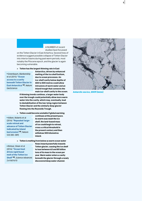A NUMBER of recent studies have focussed

on the Totten Glacier in East Antartica. Several lines of evidence suggest possible collapse of Totten Glacier into interior basins during past warm periods, most notably the Pliocene epoch, and the glacier is again becoming vulnerable.

> **Totten has the largest thinning rate in East** 

• Greenbaum, Blankenship et al (2015) **["Ocean](http://www.nature.com/ngeo/journal/v8/n4/full/ngeo2388.html)  [access to a cavity](http://www.nature.com/ngeo/journal/v8/n4/full/ngeo2388.html)  [beneath Totten Glacier in](http://www.nature.com/ngeo/journal/v8/n4/full/ngeo2388.html)  [East Antarctica"](http://www.nature.com/ngeo/journal/v8/n4/full/ngeo2388.html)**22, Nature GeoScience

**Antarctica, driven by enhanced melting of the ice shelf bottom, due to ocean processes. An ice-shelf cavity below depths of 400 to 500 metres could allow intrusions of warm water and an inland trough that connects the main ice-shelf cavity to the ocean.** 

**If thinning trends continue, a larger water body over the trough could potentially allow more warm water into the cavity, which may, eventually, lead to destabilization of the low-lying region between Totten Glacier and the similarly deep glacier flowing into the Reynolds Trough.**

> **Totten could become unstable if global warming** 

● Aitken, Roberts et al (2016) **["Repeated](http://www.nature.com/nature/journal/v533/n7603/full/nature17447.html) large[scale retreat and](http://www.nature.com/nature/journal/v533/n7603/full/nature17447.html)  [advance of Totten Glacier](http://www.nature.com/nature/journal/v533/n7603/full/nature17447.html)  [indicated by inland](http://www.nature.com/nature/journal/v533/n7603/full/nature17447.html)  [bed erosion"](http://www.nature.com/nature/journal/v533/n7603/full/nature17447.html)**23, Nature 533:385–389]

**continues at the present pace. As warm seas wash the ice shelf, the land-based mass of ice could begin to retreat, cross a critical threshold in the present century and then withdraw 300 kilometres inland.**

> **Totten is melting from below as warm ocean water** 

● Rintoul, Silvan et al (2016) **["Ocean heat](http://advances.sciencemag.org/content/2/12/e1601610.full)  [drives rapid basal](http://advances.sciencemag.org/content/2/12/e1601610.full)  [melt of the Totten Ice](http://advances.sciencemag.org/content/2/12/e1601610.full)  [Shelf"](http://advances.sciencemag.org/content/2/12/e1601610.full)**24**,** Science Advances 2:e1601610

**flows inward powerfully towards Totten glacier, causing the ice shelf to lose between 63 and 80 billion tons of its mass to the ocean per year. Warm water enters a cavity beneath the glacier through a newly discovered deep water channel.**



Antarctic sea ice, 2009 (NASA)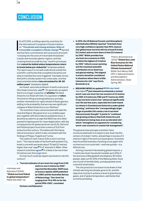### **CONCLUSION**

 $\prod_{\text{th}}$ N LATE 2015, a chilling report by scientists for the International Cryosphere Climate Initiative on **["Thresholds and closing windows: Risks of](http://iccinet.org/thresholds)  [irreversible cryosphere climate change"](http://iccinet.org/thresholds)**25 warned that the Paris commitments will not prevent the Earth "crossing into the zone of irreversible thresholds" in polar and mountain glacier regions, and that crossing these boundaries may "result in processes that *cannot be halted unless temperatures return to levels below pre-industrial*" (emphasis added). The report says it is not well understood outside the scientific community that cryosphere dynamics are slow to manifest but once triggered "inevitably forces the Earth's climate system into a new state, one that most scientists believe *has not existed for 35–50 million years*" (emphasis added).

Ian Howat, associate professor of earth sciences at Ohio State University, **[says](https://www.siliconrepublic.com/innovation/antarctic-ice-sheet-global-warming)**26: "It's generally accepted that it's no longer a question of *whether* the West Antarctic Ice Sheet will melt, it's a question of *when*. This kind of rifting (cracking) behaviour provides another mechanism for rapid retreat of these glaciers, adding to the probability that we may see significant collapse of West Antarctica in our lifetimes."

The scientists I have communicated with take the view that Rignot, Mouginot et al. is a credible paper and, together with the evidence published since, it would be prudent to accept that WAIS has very likely passed its tipping point for mass deglaciation, with big consequences for global sea level rise (SLR). DeConto and Pollard project more than a metre of SLR from Antarctica this century. This tallies with the Hanse, Sato et al scenario, which is also consistent with the findings of Phipps, Fogwill and Turney.

The reality of multi-metre SLRs is not if, but how soon. "The natural state of the Earth with present CO<sub>2</sub> levels is one with sea levels about 70 feet (21 metres) higher than now" **[says](http://news.rutgers.edu/news-releases/2012/03/global-sea-level-lik-20120316)**27 Prof. Kenneth G. Miller. Other research scientists **[agree](https://www.sciencedaily.com/releases/2009/06/090622103833.htm)**28 it is likely to be more than 20 metres over the longer term.

So how much could we expect sea levels to rise this century?

> **"Current estimates of sea-level rise range from 0.50 metre to over 2 metres by 2100",** 

● Vermeer and Rahmstorf (2009), **"Global sea level linked to global temperature"**, PNAS 106:21527-32

**reported the November 2009 issue of** *Science Update 2009* **published by CSIRO and the Australian Bureau of Meteorology. "Sea-level rise ranging from 75 to 190 cm for the period 1990-2100", concluded** 

> **In 2012, the US National Oceanic and Atmospheric Administration (NOAA) reported "Scientists have very high confidence (greater than 90% chance) that global mean sea level will rise at least 8 inches (0.2 meter) and no more than 6.6 feet (2.0 meters)** 

**by 2100." NOAA provides four sea level rise scenarios to 2100, of which the highest of 2 metres by 2100 "reflects ocean warming and the maximum plausible contribution of ice sheet loss and glacial melting. This highest scenario should be considered in situations where there is little tolerance for risk" says Parris, Bromirski et al.**

● Parris, Bromirski et al (2012) **"Global Sea Level Rise Scenarios for the United States National Climate Assessment",**  NOAA Tech Memo OAR CPO-1, National Oceanic and Atmospheric Administration, Silver Spring, MD.

> **BREAKING NEWS An updated [NOAA sea-level](https://tidesandcurrents.noaa.gov/publications/techrpt83_Global_and_Regional_SLR_Scenarios_for_the_US_final.pdf)  [rise report](https://tidesandcurrents.noaa.gov/publications/techrpt83_Global_and_Regional_SLR_Scenarios_for_the_US_final.pdf)**29 **just released recommends a revised worst-case sea-level rise rise scenario of 2.5 metres by 2100, 5.5 metres by 2150 and 9.7 metres by 2200. It says sea level science has "advanced significantly over the last few years, especially (for) land-based ice sheets in Greenland and Antarctica under global warming", and hence the "correspondingly larger range of possible 21st century rise in sea level than previously thought". It points to "continued and growing evidence that both Antarctica and Greenland are losing mass at an accelerated rate", which "strengthens an argument for considering worst-case scenarios in coastal risk management".**

The general view amongst scientists I have communicated with is to expect a sea-level rise this century of at least 1 metre, and perhaps in excess of 2 metres in light of the work surveyed above. Scientists have found the business of putting a true upper limit on how much ice could melt—and how quickly—is a difficult one.

Among a myriad of devastating global impacts, a 1-metre sea-level rise would inundate up to 20% of the land area of Bangladesh and displace 30 million people, wipe out 40-50% of the Mekong Delta, flood one-fourth of the Nile Delta, and depopulate some coral atoll small states.

The only practical conclusion to be drawn is that climate warming has already gone to far, and the objective must be to achieve a level of greenhouse gases, and of global temperature, well below that currently prevailing.

**Vermeer and Rahmstorf.**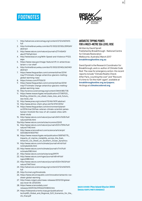



- 1. http://advances.sciencemag.org/content/2/12/e1601610. full
- 2. http://onlinelibrary.wiley.com/doi/10.1002/2013GL059069/ abstract
- 3. http://www.nature.com/nature/journal/v271/n5643/ abs/271321a0.html
- 4. http://www.beacon.org/With-Speed-and-Violence-P1123. aspx
- 5. https://www.nasa.gov/image-feature/rift-in-antarcticaslarsen-c-ice-shelf
- 6. http://onlinelibrary.wiley.com/doi/10.1002/2014GL060140/ abstract
- 7. https://www.theguardian.com/commentisfree/2014/ may/17/climate-change-antarctica-glaciers-meltingglobal-warming-nasa
- 8. https://vimeo.com/97926131
- 9. https://www.theguardian.com/commentisfree/2014/ may/17/climate-change-antarctica-glaciers-meltingglobal-warming-nasa
- 10. http://science.sciencemag.org/content/344/6185/735
- 11. https://www.researchgate.net/publication/273187021\_ Briefing\_Antarctic\_ice\_sheet\_mass\_loss\_and\_future\_ sea-level\_rise
- 12. http://www.pnas.org/content/112/46/14191.abstract
- 13. http://www.atmos-chem-phys.net/16/3761/2016/
- 14. https://www.theguardian.com/environment/planetoz/2016/mar/24/has-veteran-climate-scientist-jameshansen-foretold-the-loss-of-all-coastal-cities-withlatest-study
- 15. http://www.nature.com/nature/journal/v541/n7635/full/ nature20136.html
- 15a.http://www.nature.com/articles/ncomms13243
- 16. http://www.nature.com/nature/journal/v531/n7596/full/ nature17145.html
- 17. http://www.sciencedirect.com/science/article/pii/ S0012821X14007961
- 18. https://www.researchgate.net/publication/308765775\_ Impacts\_of\_marine\_instability\_across\_the\_East\_ Antarctic Ice Sheet on Southern Ocean dynamics
- 19. http://www.nature.com/nclimate/journal/v4/n6/full/ nclimate2226.html
- 20. http://www.nature.com/nclimate/journal/v7/n1/full/ nclimate3180.html
- 21. http://www.nature.com/articles/srep39979
- 22. http://www.nature.com/ngeo/journal/v8/n4/full/ ngeo2388.html
- 23. http://www.nature.com/nature/journal/v533/n7603/full/ nature17447.html
- 24. http://advances.sciencemag.org/content/2/12/e1601610. full
- 25. http://iccinet.org/thresholds
- 26. https://www.siliconrepublic.com/innovation/antarctic-icesheet-global-warming
- 27. http://news.rutgers.edu/news-releases/2012/03/globalsea-level-lik-20120316
- 28. https://www.sciencedaily.com/ releases/2009/06/090622103833.htm
- 29. https://tidesandcurrents.noaa.gov/publications/ techrpt83\_Global\_and\_Regional\_SLR\_Scenarios\_for\_the\_ US\_final.pdf

#### **ANTARCTIC TIPPING POINTS FOR A MULTI-METRE SEA LEVEL RISE**

Written by David Spratt Published by Breakthrough - National Centre for Climate Restoration Melbourne, Australia | March 2017 **breakthroughonline.org.au**

David Spratt is the Research Coordinator for Breakthrough, and co-author of *Climate Code Red: The case for emergency action*. His recent reports include "Climate Reality Check: After Paris, counting the cost" and "Recount: It's time to 'Do the math' again", available at **breakthroughonline.org.au/papers**. He blogs at **climatecodered.org**.

BACK COVER Pine Island Glacier 2002 (NASA/GSFC/METI/ERSDAC)